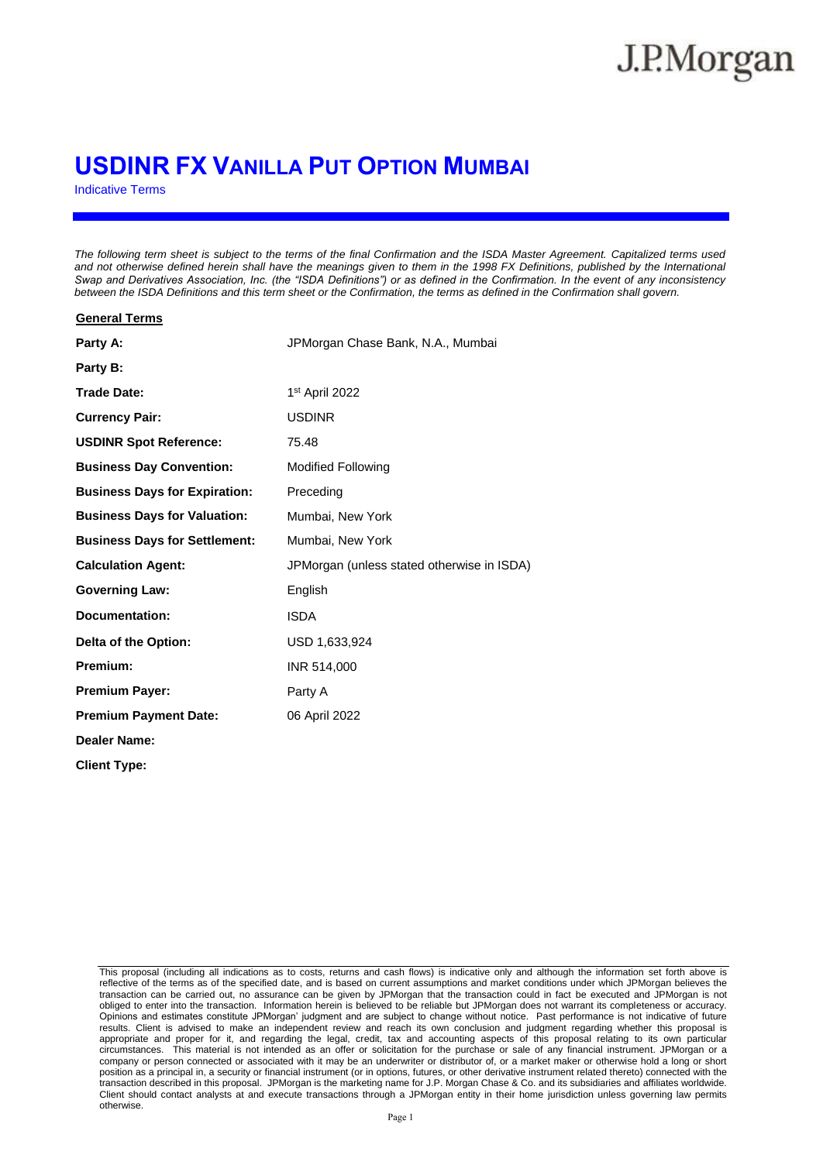### **USDINR FX VANILLA PUT OPTION MUMBAI**

Indicative Terms

*The following term sheet is subject to the terms of the final Confirmation and the ISDA Master Agreement. Capitalized terms used*  and not otherwise defined herein shall have the meanings given to them in the 1998 FX Definitions, published by the International *Swap and Derivatives Association, Inc. (the "ISDA Definitions") or as defined in the Confirmation. In the event of any inconsistency between the ISDA Definitions and this term sheet or the Confirmation, the terms as defined in the Confirmation shall govern.*

| <b>General Terms</b>                 |                                            |
|--------------------------------------|--------------------------------------------|
| Party A:                             | JPMorgan Chase Bank, N.A., Mumbai          |
| Party B:                             |                                            |
| <b>Trade Date:</b>                   | 1 <sup>st</sup> April 2022                 |
| <b>Currency Pair:</b>                | <b>USDINR</b>                              |
| <b>USDINR Spot Reference:</b>        | 75.48                                      |
| <b>Business Day Convention:</b>      | <b>Modified Following</b>                  |
| <b>Business Days for Expiration:</b> | Preceding                                  |
| <b>Business Days for Valuation:</b>  | Mumbai, New York                           |
| <b>Business Days for Settlement:</b> | Mumbai, New York                           |
| <b>Calculation Agent:</b>            | JPMorgan (unless stated otherwise in ISDA) |
| <b>Governing Law:</b>                | English                                    |
| Documentation:                       | <b>ISDA</b>                                |
| Delta of the Option:                 | USD 1,633,924                              |
| Premium:                             | INR 514,000                                |
| <b>Premium Payer:</b>                | Party A                                    |
| <b>Premium Payment Date:</b>         | 06 April 2022                              |
| <b>Dealer Name:</b>                  |                                            |
| <b>Client Type:</b>                  |                                            |

This proposal (including all indications as to costs, returns and cash flows) is indicative only and although the information set forth above is reflective of the terms as of the specified date, and is based on current assumptions and market conditions under which JPMorgan believes the transaction can be carried out, no assurance can be given by JPMorgan that the transaction could in fact be executed and JPMorgan is not obliged to enter into the transaction. Information herein is believed to be reliable but JPMorgan does not warrant its completeness or accuracy. Opinions and estimates constitute JPMorgan' judgment and are subject to change without notice. Past performance is not indicative of future results. Client is advised to make an independent review and reach its own conclusion and judgment regarding whether this proposal is appropriate and proper for it, and regarding the legal, credit, tax and accounting aspects of this proposal relating to its own particular circumstances. This material is not intended as an offer or solicitation for the purchase or sale of any financial instrument. JPMorgan or a company or person connected or associated with it may be an underwriter or distributor of, or a market maker or otherwise hold a long or short position as a principal in, a security or financial instrument (or in options, futures, or other derivative instrument related thereto) connected with the transaction described in this proposal. JPMorgan is the marketing name for J.P. Morgan Chase & Co. and its subsidiaries and affiliates worldwide. Client should contact analysts at and execute transactions through a JPMorgan entity in their home jurisdiction unless governing law permits otherwise.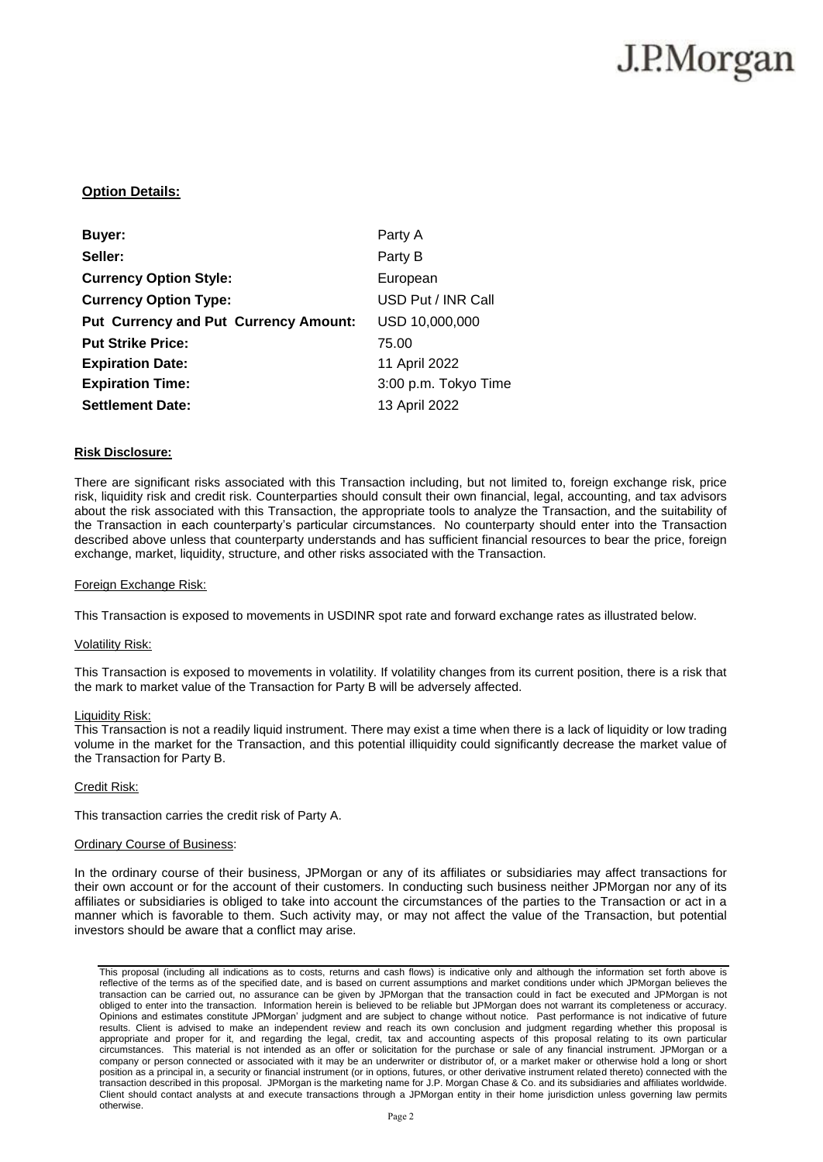#### **Option Details:**

| Buyer:                                       | Party A              |
|----------------------------------------------|----------------------|
| Seller:                                      | Party B              |
| <b>Currency Option Style:</b>                | European             |
| <b>Currency Option Type:</b>                 | USD Put / INR Call   |
| <b>Put Currency and Put Currency Amount:</b> | USD 10,000,000       |
| <b>Put Strike Price:</b>                     | 75.00                |
| <b>Expiration Date:</b>                      | 11 April 2022        |
| <b>Expiration Time:</b>                      | 3:00 p.m. Tokyo Time |
| <b>Settlement Date:</b>                      | 13 April 2022        |

#### **Risk Disclosure:**

There are significant risks associated with this Transaction including, but not limited to, foreign exchange risk, price risk, liquidity risk and credit risk. Counterparties should consult their own financial, legal, accounting, and tax advisors about the risk associated with this Transaction, the appropriate tools to analyze the Transaction, and the suitability of the Transaction in each counterparty's particular circumstances. No counterparty should enter into the Transaction described above unless that counterparty understands and has sufficient financial resources to bear the price, foreign exchange, market, liquidity, structure, and other risks associated with the Transaction.

#### Foreign Exchange Risk:

This Transaction is exposed to movements in USDINR spot rate and forward exchange rates as illustrated below.

#### Volatility Risk:

This Transaction is exposed to movements in volatility. If volatility changes from its current position, there is a risk that the mark to market value of the Transaction for Party B will be adversely affected.

#### **Liquidity Risk:**

This Transaction is not a readily liquid instrument. There may exist a time when there is a lack of liquidity or low trading volume in the market for the Transaction, and this potential illiquidity could significantly decrease the market value of the Transaction for Party B.

#### Credit Risk:

This transaction carries the credit risk of Party A.

#### Ordinary Course of Business:

In the ordinary course of their business, JPMorgan or any of its affiliates or subsidiaries may affect transactions for their own account or for the account of their customers. In conducting such business neither JPMorgan nor any of its affiliates or subsidiaries is obliged to take into account the circumstances of the parties to the Transaction or act in a manner which is favorable to them. Such activity may, or may not affect the value of the Transaction, but potential investors should be aware that a conflict may arise.

This proposal (including all indications as to costs, returns and cash flows) is indicative only and although the information set forth above is reflective of the terms as of the specified date, and is based on current assumptions and market conditions under which JPMorgan believes the transaction can be carried out, no assurance can be given by JPMorgan that the transaction could in fact be executed and JPMorgan is not obliged to enter into the transaction. Information herein is believed to be reliable but JPMorgan does not warrant its completeness or accuracy. Opinions and estimates constitute JPMorgan' judgment and are subject to change without notice. Past performance is not indicative of future results. Client is advised to make an independent review and reach its own conclusion and judgment regarding whether this proposal is appropriate and proper for it, and regarding the legal, credit, tax and accounting aspects of this proposal relating to its own particular circumstances. This material is not intended as an offer or solicitation for the purchase or sale of any financial instrument. JPMorgan or a company or person connected or associated with it may be an underwriter or distributor of, or a market maker or otherwise hold a long or short position as a principal in, a security or financial instrument (or in options, futures, or other derivative instrument related thereto) connected with the transaction described in this proposal. JPMorgan is the marketing name for J.P. Morgan Chase & Co. and its subsidiaries and affiliates worldwide. Client should contact analysts at and execute transactions through a JPMorgan entity in their home jurisdiction unless governing law permits otherwise.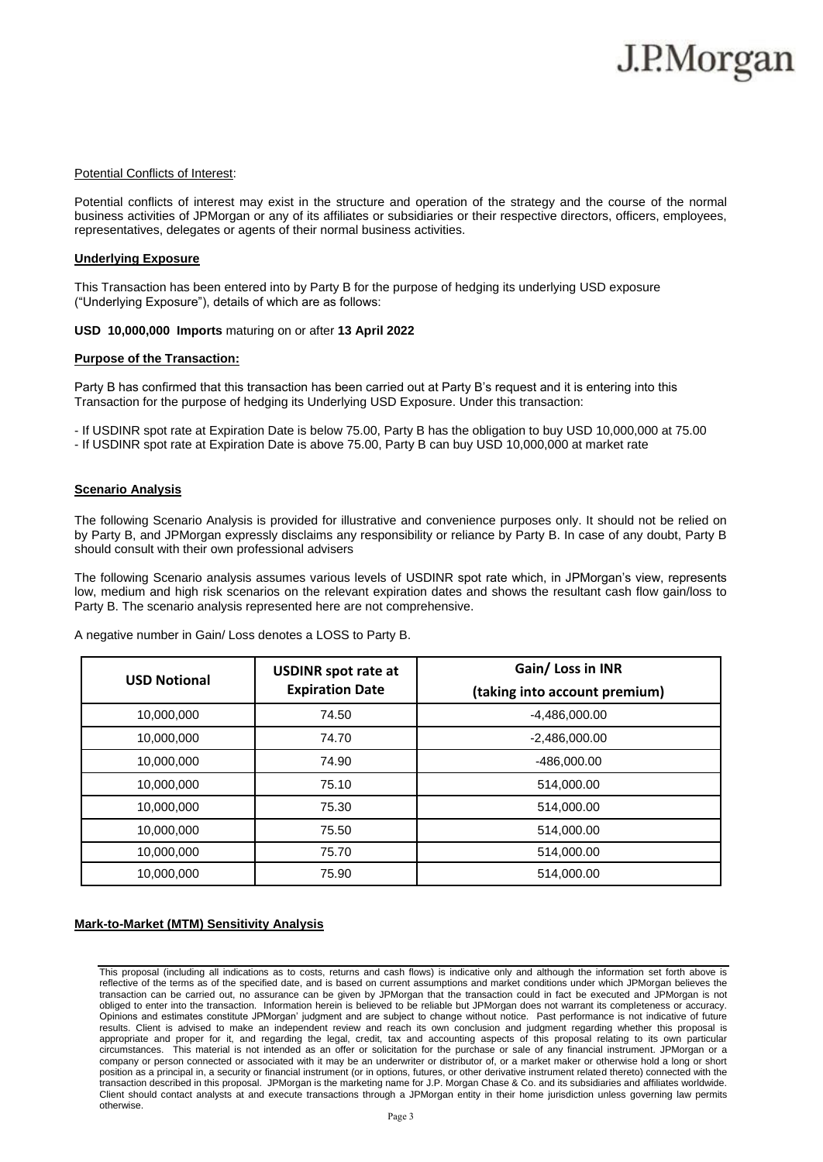#### **Potential Conflicts of Interest:**

Potential conflicts of interest may exist in the structure and operation of the strategy and the course of the normal business activities of JPMorgan or any of its affiliates or subsidiaries or their respective directors, officers, employees, representatives, delegates or agents of their normal business activities.

#### **Underlying Exposure**

This Transaction has been entered into by Party B for the purpose of hedging its underlying USD exposure ("Underlying Exposure"), details of which are as follows:

#### **USD 10,000,000 Imports** maturing on or after **13 April 2022**

#### **Purpose of the Transaction:**

Party B has confirmed that this transaction has been carried out at Party B's request and it is entering into this Transaction for the purpose of hedging its Underlying USD Exposure. Under this transaction:

- If USDINR spot rate at Expiration Date is below 75.00, Party B has the obligation to buy USD 10,000,000 at 75.00 - If USDINR spot rate at Expiration Date is above 75.00, Party B can buy USD 10,000,000 at market rate

#### **Scenario Analysis**

The following Scenario Analysis is provided for illustrative and convenience purposes only. It should not be relied on by Party B, and JPMorgan expressly disclaims any responsibility or reliance by Party B. In case of any doubt, Party B should consult with their own professional advisers

The following Scenario analysis assumes various levels of USDINR spot rate which, in JPMorgan's view, represents low, medium and high risk scenarios on the relevant expiration dates and shows the resultant cash flow gain/loss to Party B. The scenario analysis represented here are not comprehensive.

| <b>USD Notional</b> | <b>USDINR spot rate at</b><br><b>Expiration Date</b> | Gain/ Loss in INR<br>(taking into account premium) |
|---------------------|------------------------------------------------------|----------------------------------------------------|
| 10,000,000          | 74.50                                                | $-4,486,000.00$                                    |
| 10,000,000          | 74.70                                                | $-2,486,000.00$                                    |
| 10,000,000          | 74.90                                                | -486,000.00                                        |
| 10,000,000          | 75.10                                                | 514,000.00                                         |
| 10,000,000          | 75.30                                                | 514,000.00                                         |
| 10,000,000          | 75.50                                                | 514,000.00                                         |
| 10,000,000          | 75.70                                                | 514,000.00                                         |
| 10,000,000          | 75.90                                                | 514,000.00                                         |

A negative number in Gain/ Loss denotes a LOSS to Party B.

#### **Mark-to-Market (MTM) Sensitivity Analysis**

This proposal (including all indications as to costs, returns and cash flows) is indicative only and although the information set forth above is reflective of the terms as of the specified date, and is based on current assumptions and market conditions under which JPMorgan believes the transaction can be carried out, no assurance can be given by JPMorgan that the transaction could in fact be executed and JPMorgan is not obliged to enter into the transaction. Information herein is believed to be reliable but JPMorgan does not warrant its completeness or accuracy. Opinions and estimates constitute JPMorgan' judgment and are subject to change without notice. Past performance is not indicative of future results. Client is advised to make an independent review and reach its own conclusion and judgment regarding whether this proposal is appropriate and proper for it, and regarding the legal, credit, tax and accounting aspects of this proposal relating to its own particular circumstances. This material is not intended as an offer or solicitation for the purchase or sale of any financial instrument. JPMorgan or a company or person connected or associated with it may be an underwriter or distributor of, or a market maker or otherwise hold a long or short position as a principal in, a security or financial instrument (or in options, futures, or other derivative instrument related thereto) connected with the transaction described in this proposal. JPMorgan is the marketing name for J.P. Morgan Chase & Co. and its subsidiaries and affiliates worldwide. Client should contact analysts at and execute transactions through a JPMorgan entity in their home jurisdiction unless governing law permits otherwise.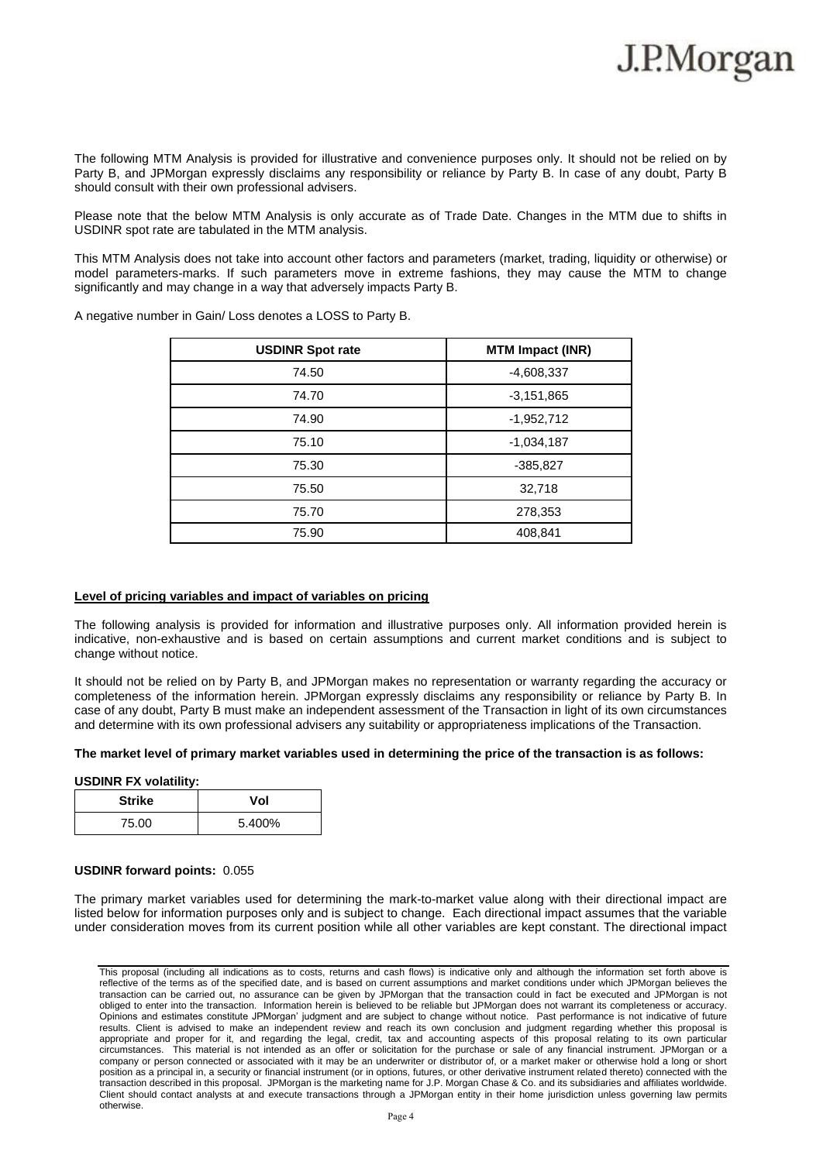The following MTM Analysis is provided for illustrative and convenience purposes only. It should not be relied on by Party B, and JPMorgan expressly disclaims any responsibility or reliance by Party B. In case of any doubt, Party B should consult with their own professional advisers.

Please note that the below MTM Analysis is only accurate as of Trade Date. Changes in the MTM due to shifts in USDINR spot rate are tabulated in the MTM analysis.

This MTM Analysis does not take into account other factors and parameters (market, trading, liquidity or otherwise) or model parameters-marks. If such parameters move in extreme fashions, they may cause the MTM to change significantly and may change in a way that adversely impacts Party B.

| <b>USDINR Spot rate</b> | <b>MTM Impact (INR)</b> |
|-------------------------|-------------------------|
| 74.50                   | $-4,608,337$            |
| 74.70                   | $-3,151,865$            |
| 74.90                   | $-1,952,712$            |
| 75.10                   | $-1,034,187$            |
| 75.30                   | $-385,827$              |
| 75.50                   | 32,718                  |
| 75.70                   | 278,353                 |
| 75.90                   | 408,841                 |

A negative number in Gain/ Loss denotes a LOSS to Party B.

#### **Level of pricing variables and impact of variables on pricing**

The following analysis is provided for information and illustrative purposes only. All information provided herein is indicative, non-exhaustive and is based on certain assumptions and current market conditions and is subject to change without notice.

It should not be relied on by Party B, and JPMorgan makes no representation or warranty regarding the accuracy or completeness of the information herein. JPMorgan expressly disclaims any responsibility or reliance by Party B. In case of any doubt, Party B must make an independent assessment of the Transaction in light of its own circumstances and determine with its own professional advisers any suitability or appropriateness implications of the Transaction.

#### **The market level of primary market variables used in determining the price of the transaction is as follows:**

#### **USDINR FX volatility:**

| <b>Strike</b> | Vol    |
|---------------|--------|
| 75.00         | 5.400% |

#### **USDINR forward points:** 0.055

The primary market variables used for determining the mark-to-market value along with their directional impact are listed below for information purposes only and is subject to change. Each directional impact assumes that the variable under consideration moves from its current position while all other variables are kept constant. The directional impact

This proposal (including all indications as to costs, returns and cash flows) is indicative only and although the information set forth above is reflective of the terms as of the specified date, and is based on current assumptions and market conditions under which JPMorgan believes the transaction can be carried out, no assurance can be given by JPMorgan that the transaction could in fact be executed and JPMorgan is not obliged to enter into the transaction. Information herein is believed to be reliable but JPMorgan does not warrant its completeness or accuracy. Opinions and estimates constitute JPMorgan' judgment and are subject to change without notice. Past performance is not indicative of future results. Client is advised to make an independent review and reach its own conclusion and judgment regarding whether this proposal is appropriate and proper for it, and regarding the legal, credit, tax and accounting aspects of this proposal relating to its own particular circumstances. This material is not intended as an offer or solicitation for the purchase or sale of any financial instrument. JPMorgan or a company or person connected or associated with it may be an underwriter or distributor of, or a market maker or otherwise hold a long or short position as a principal in, a security or financial instrument (or in options, futures, or other derivative instrument related thereto) connected with the transaction described in this proposal. JPMorgan is the marketing name for J.P. Morgan Chase & Co. and its subsidiaries and affiliates worldwide. Client should contact analysts at and execute transactions through a JPMorgan entity in their home jurisdiction unless governing law permits otherwise.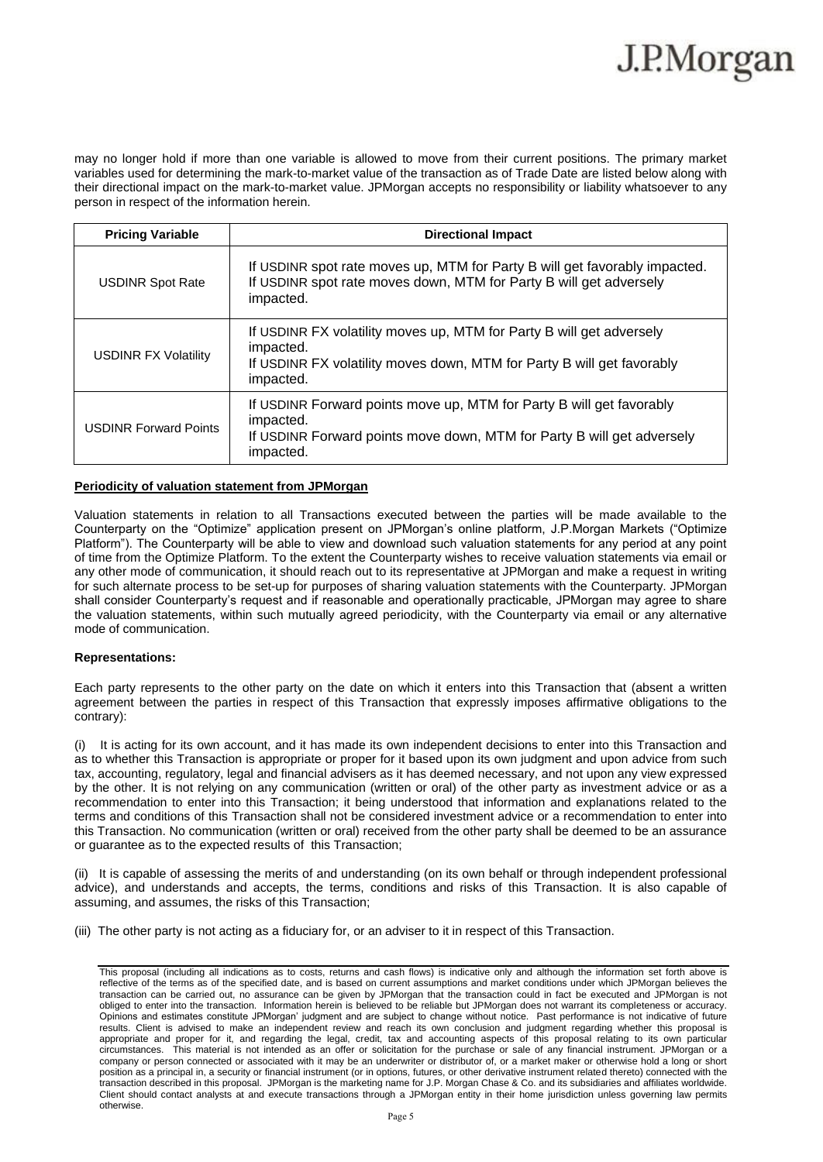may no longer hold if more than one variable is allowed to move from their current positions. The primary market variables used for determining the mark-to-market value of the transaction as of Trade Date are listed below along with their directional impact on the mark-to-market value. JPMorgan accepts no responsibility or liability whatsoever to any person in respect of the information herein.

| <b>Pricing Variable</b>      | <b>Directional Impact</b>                                                                                                                                                |
|------------------------------|--------------------------------------------------------------------------------------------------------------------------------------------------------------------------|
| <b>USDINR Spot Rate</b>      | If USDINR spot rate moves up, MTM for Party B will get favorably impacted.<br>If USDINR spot rate moves down, MTM for Party B will get adversely<br>impacted.            |
| <b>USDINR FX Volatility</b>  | If USDINR FX volatility moves up, MTM for Party B will get adversely<br>impacted.<br>If USDINR FX volatility moves down, MTM for Party B will get favorably<br>impacted. |
| <b>USDINR Forward Points</b> | If USDINR Forward points move up, MTM for Party B will get favorably<br>impacted.<br>If USDINR Forward points move down, MTM for Party B will get adversely<br>impacted. |

#### **Periodicity of valuation statement from JPMorgan**

Valuation statements in relation to all Transactions executed between the parties will be made available to the Counterparty on the "Optimize" application present on JPMorgan's online platform, J.P.Morgan Markets ("Optimize Platform"). The Counterparty will be able to view and download such valuation statements for any period at any point of time from the Optimize Platform. To the extent the Counterparty wishes to receive valuation statements via email or any other mode of communication, it should reach out to its representative at JPMorgan and make a request in writing for such alternate process to be set-up for purposes of sharing valuation statements with the Counterparty. JPMorgan shall consider Counterparty's request and if reasonable and operationally practicable, JPMorgan may agree to share the valuation statements, within such mutually agreed periodicity, with the Counterparty via email or any alternative mode of communication.

#### **Representations:**

Each party represents to the other party on the date on which it enters into this Transaction that (absent a written agreement between the parties in respect of this Transaction that expressly imposes affirmative obligations to the contrary):

(i) It is acting for its own account, and it has made its own independent decisions to enter into this Transaction and as to whether this Transaction is appropriate or proper for it based upon its own judgment and upon advice from such tax, accounting, regulatory, legal and financial advisers as it has deemed necessary, and not upon any view expressed by the other. It is not relying on any communication (written or oral) of the other party as investment advice or as a recommendation to enter into this Transaction; it being understood that information and explanations related to the terms and conditions of this Transaction shall not be considered investment advice or a recommendation to enter into this Transaction. No communication (written or oral) received from the other party shall be deemed to be an assurance or guarantee as to the expected results of this Transaction;

(ii) It is capable of assessing the merits of and understanding (on its own behalf or through independent professional advice), and understands and accepts, the terms, conditions and risks of this Transaction. It is also capable of assuming, and assumes, the risks of this Transaction;

(iii) The other party is not acting as a fiduciary for, or an adviser to it in respect of this Transaction.

This proposal (including all indications as to costs, returns and cash flows) is indicative only and although the information set forth above is reflective of the terms as of the specified date, and is based on current assumptions and market conditions under which JPMorgan believes the transaction can be carried out, no assurance can be given by JPMorgan that the transaction could in fact be executed and JPMorgan is not obliged to enter into the transaction. Information herein is believed to be reliable but JPMorgan does not warrant its completeness or accuracy. Opinions and estimates constitute JPMorgan' judgment and are subject to change without notice. Past performance is not indicative of future results. Client is advised to make an independent review and reach its own conclusion and judgment regarding whether this proposal is appropriate and proper for it, and regarding the legal, credit, tax and accounting aspects of this proposal relating to its own particular circumstances. This material is not intended as an offer or solicitation for the purchase or sale of any financial instrument. JPMorgan or a company or person connected or associated with it may be an underwriter or distributor of, or a market maker or otherwise hold a long or short position as a principal in, a security or financial instrument (or in options, futures, or other derivative instrument related thereto) connected with the transaction described in this proposal. JPMorgan is the marketing name for J.P. Morgan Chase & Co. and its subsidiaries and affiliates worldwide. Client should contact analysts at and execute transactions through a JPMorgan entity in their home jurisdiction unless governing law permits otherwise.